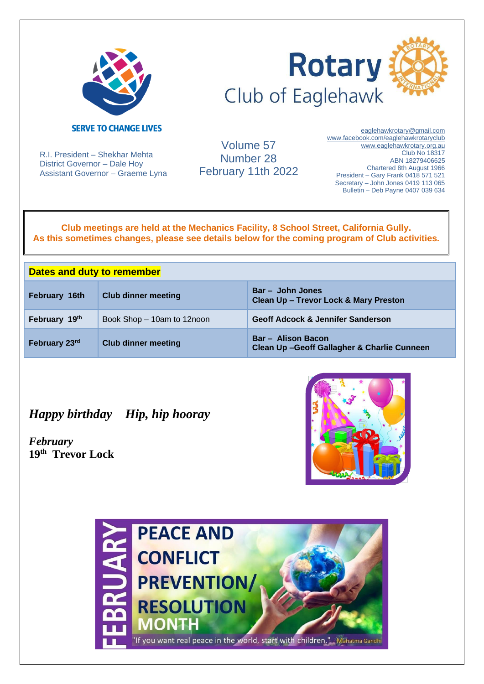



R.I. President – Shekhar Mehta District Governor – Dale Hoy Assistant Governor – Graeme Lyna

Volume 57 Number 28 February 11th 2022

[eaglehawkrotary@gmail.com](mailto:eaglehawkrotary@gmail.com)  [www.facebook.com/eaglehawkrotaryclub](http://www.facebook.com/eaglehawkrotaryclub) www.eaglehawkrotary.org.au Club No 18317 ABN 18279406625 Chartered 8th August 1966 President – Gary Frank 0418 571 521 Secretary – John Jones 0419 113 065 Bulletin – Deb Payne 0407 039 634

**Club meetings are held at the Mechanics Facility, 8 School Street, California Gully. As this sometimes changes, please see details below for the coming program of Club activities.**

| <b>Dates and duty to remember</b> |                            |                                                                         |
|-----------------------------------|----------------------------|-------------------------------------------------------------------------|
| February 16th                     | <b>Club dinner meeting</b> | Bar - John Jones<br><b>Clean Up - Trevor Lock &amp; Mary Preston</b>    |
| February 19th                     | Book Shop - 10am to 12noon | <b>Geoff Adcock &amp; Jennifer Sanderson</b>                            |
| February 23rd                     | <b>Club dinner meeting</b> | <b>Bar - Alison Bacon</b><br>Clean Up-Geoff Gallagher & Charlie Cunneen |

# *Happy birthday Hip, hip hooray*

*February* **19th Trevor Lock**



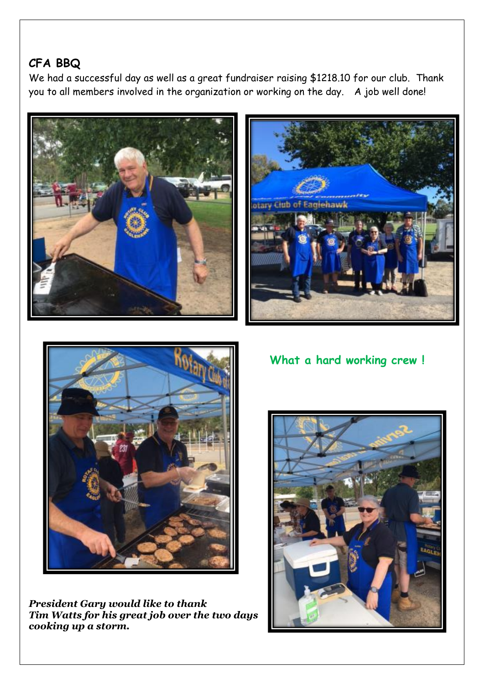# **CFA BBQ**

We had a successful day as well as a great fundraiser raising \$1218.10 for our club. Thank you to all members involved in the organization or working on the day. A job well done!







*President Gary would like to thank Tim Watts for his great job over the two days cooking up a storm.* 

 **What a hard working crew !**

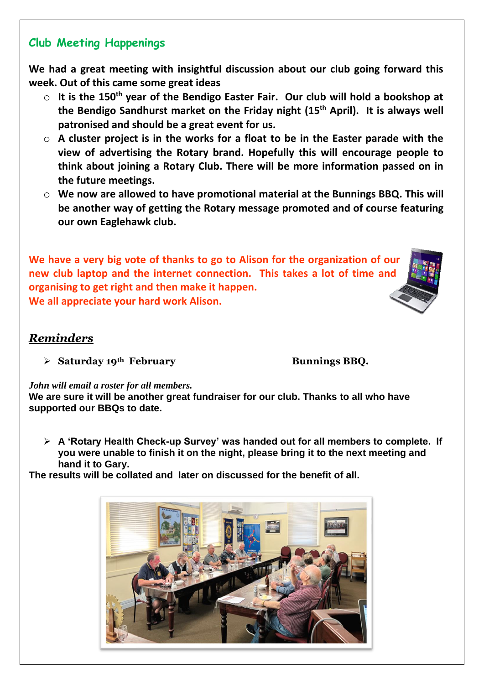### **Club Meeting Happenings**

**We had a great meeting with insightful discussion about our club going forward this week. Out of this came some great ideas**

- o **It is the 150th year of the Bendigo Easter Fair. Our club will hold a bookshop at the Bendigo Sandhurst market on the Friday night (15th April). It is always well patronised and should be a great event for us.**
- o **A cluster project is in the works for a float to be in the Easter parade with the view of advertising the Rotary brand. Hopefully this will encourage people to think about joining a Rotary Club. There will be more information passed on in the future meetings.**
- o **We now are allowed to have promotional material at the Bunnings BBQ. This will be another way of getting the Rotary message promoted and of course featuring our own Eaglehawk club.**

**We have a very big vote of thanks to go to Alison for the organization of our new club laptop and the internet connection. This takes a lot of time and organising to get right and then make it happen. We all appreciate your hard work Alison.** 

### *Reminders*

➢ **Saturday 19th February Bunnings BBQ.**

#### *John will email a roster for all members.*

**We are sure it will be another great fundraiser for our club. Thanks to all who have supported our BBQs to date.**

➢ **A 'Rotary Health Check-up Survey' was handed out for all members to complete. If you were unable to finish it on the night, please bring it to the next meeting and hand it to Gary.** 

**The results will be collated and later on discussed for the benefit of all.** 



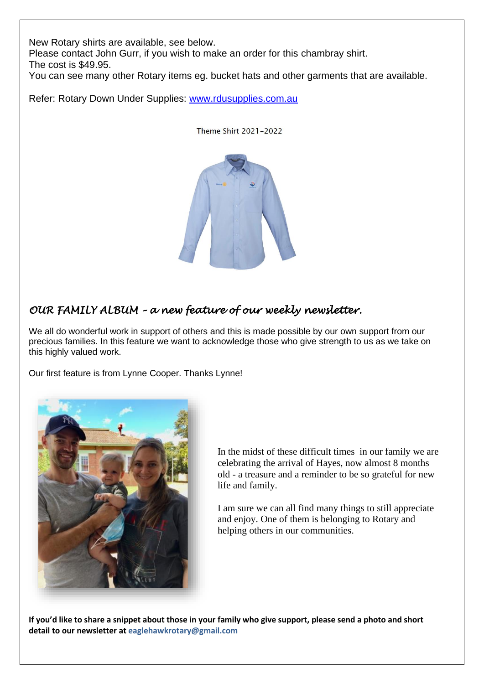New Rotary shirts are available, see below.

Please contact John Gurr, if you wish to make an order for this chambray shirt.

The cost is \$49.95.

You can see many other Rotary items eg. bucket hats and other garments that are available.

Refer: Rotary Down Under Supplies: [www.rdusupplies.com.au](http://www.rdusupplies.com.au/)



Theme Shirt 2021-2022

#### *OUR FAMILY ALBUM – a new feature of our weekly newsletter.*

We all do wonderful work in support of others and this is made possible by our own support from our precious families. In this feature we want to acknowledge those who give strength to us as we take on this highly valued work.

Our first feature is from Lynne Cooper. Thanks Lynne!



In the midst of these difficult times in our family we are celebrating the arrival of Hayes, now almost 8 months old - a treasure and a reminder to be so grateful for new life and family.

I am sure we can all find many things to still appreciate and enjoy. One of them is belonging to Rotary and helping others in our communities.

**If you'd like to share a snippet about those in your family who give support, please send a photo and short detail to our newsletter at [eaglehawkrotary@gmail.com](mailto:eaglehawkrotary@gmail.com)**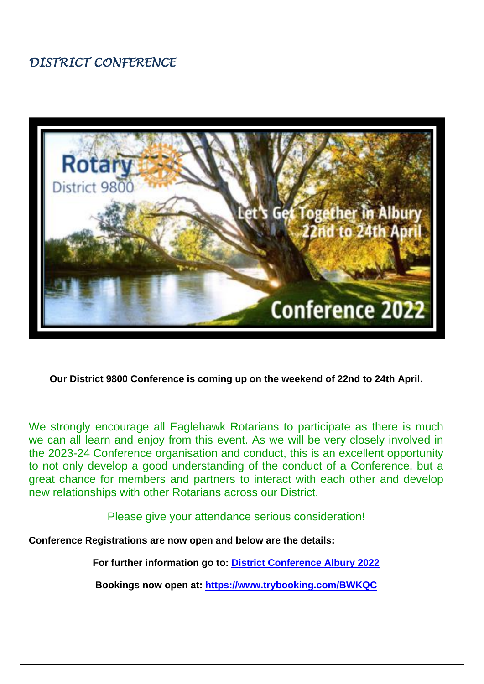# *DISTRICT CONFERENCE*



**Our District 9800 Conference is coming up on the weekend of 22nd to 24th April.**

We strongly encourage all Eaglehawk Rotarians to participate as there is much we can all learn and enjoy from this event. As we will be very closely involved in the 2023-24 Conference organisation and conduct, this is an excellent opportunity to not only develop a good understanding of the conduct of a Conference, but a great chance for members and partners to interact with each other and develop new relationships with other Rotarians across our District.

Please give your attendance serious consideration!

**Conference Registrations are now open and below are the details:**

**For further information go to: [District Conference Albury 2022](https://rotarydistrict9800.org.au/sitepage/district-conference-albury-2022)**

**Bookings now open at: <https://www.trybooking.com/BWKQC>**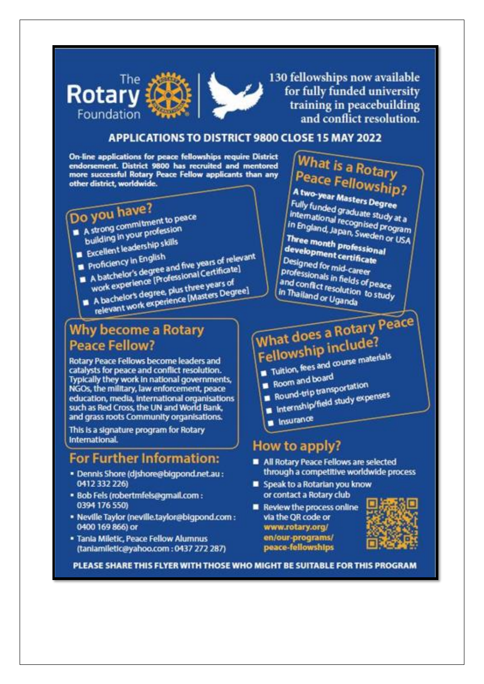

130 fellowships now available for fully funded university training in peacebuilding and conflict resolution.

#### **APPLICATIONS TO DISTRICT 9800 CLOSE 15 MAY 2022**

On-line applications for peace fellowships require District endorsement. District 9800 has recruited and mentored more successful Rotary Peace Fellow applicants than any other district, worldwide.

# Do you have?

A strong commitment to peace

- building in your profession Excellent leadership skills
- Proficiency in English
- 
- A batchelor's degree and five years of relevant work experience [Professional Certificate] A bachelor's degree, plus three years of relevant work experience [Masters Degree]
- 

# **Why become a Rotary Peace Fellow?**

Rotary Peace Fellows become leaders and catalysts for peace and conflict resolution. Typically they work in national governments, NGOs, the military, law enforcement, peace education, media, international organisations such as Red Cross, the UN and World Bank, and grass roots Community organisations.

This is a signature program for Rotary International.

# **For Further Information:**

- · Dennis Shore (djshore@bigpond.net.au: 0412 332 226)
- · Bob Fels (robertmfels@gmail.com : 0394 176 550)
- · Neville Taylor (neville.taylor@bigpond.com : 0400 169 866) or
- · Tania Miletic, Peace Fellow Alumnus (taniamiletic@yahoo.com: 0437 272 287)

# **What is a Rotary Peace Fellowship?**

A two-year Masters Degree Fully funded graduate study at a international recognised program in England, Japan, Sweden or USA

Three month professional development certificate Designed for mid-career professionals in fields of peace and conflict resolution to study in Thailand or Uganda

# What does a Rotary Peace Fellowship include?

Tuitlon, fees and course materials

- 
- Room and board Round-trip transportation
- Internship/field study expenses
- 
- Insurance

# How to apply?

- All Rotary Peace Fellows are selected through a competitive worldwide process
- Speak to a Rotarian you know or contact a Rotary club
- Review the process online via the QR code or www.rotary.org/ en/our-programs/ peace-fellowships



PLEASE SHARE THIS FLYER WITH THOSE WHO MIGHT BE SUITABLE FOR THIS PROGRAM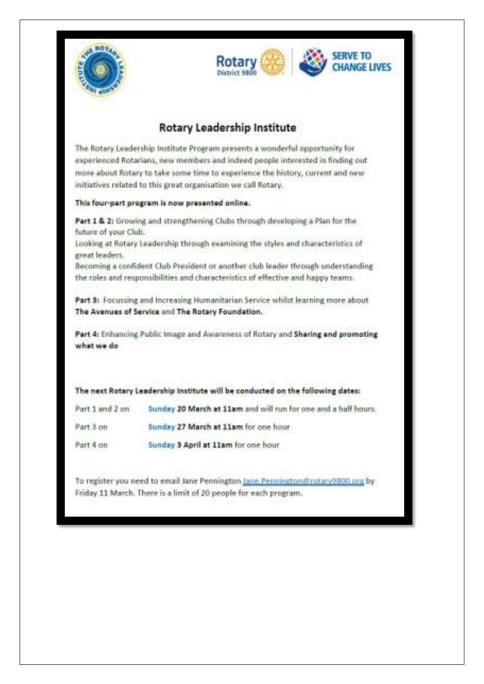



#### **Rotary Leadership Institute**

The Rotary Leadership Institute Program presents a wonderful opportunity for experienced Rotarians, new members and indeed people interested in finding out more about Rotary to take some time to experience the history, current and new initiatives related to this great organisation we call Rotary.

#### This four-part program is now presented online.

Part 1 & 2: Growing and strengthening Clubs through developing a Plan for the future of your Club.

Looking at Rotary Leadership through examining the styles and characteristics of great leaders.

Becoming a confident Club President or another club leader through understanding the roles and responsibilities and characteristics of effective and happy teams.

Part 3: Focussing and Increasing Humanitarian Service whilst learning more about The Avenues of Service and The Rotary Foundation.

Part 4: Enhancing Public Image and Awareness of Rotary and Sharing and promoting what we do

|           | The next Rotary Leadership Institute will be conducted on the following dates: |
|-----------|--------------------------------------------------------------------------------|
|           | Part 1 and 2 on 5unday 20 March at 11am and will run for one and a half hours. |
| Part 3 on | Sunday 27 March at 11am for one hour                                           |
| Part 4 on | Sunday 3 April at 11am for one hour                                            |

To register you need to email Jane Pennington Jane Fennington @rotan 9800 org by Friday 11 March. There is a limit of 20 people for each program.